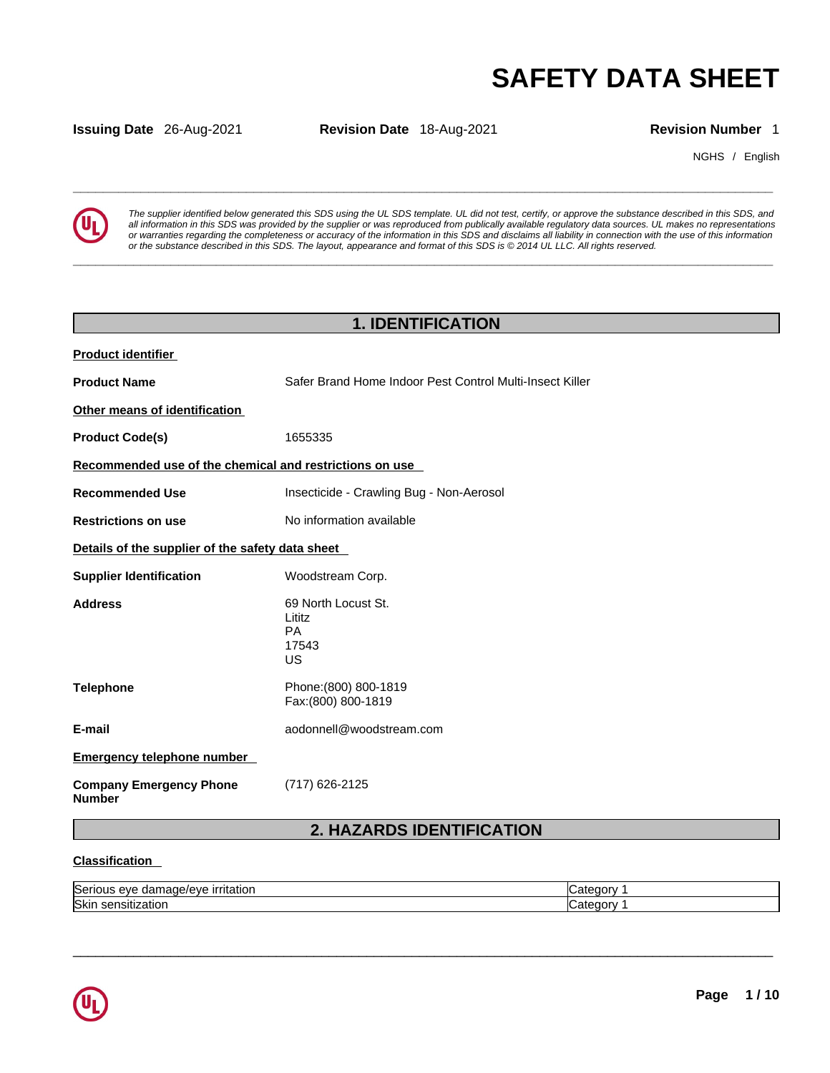**Issuing Date** 26-Aug-2021 **Revision Date** 18-Aug-2021 **Revision Number** 1

NGHS / English



**SAFETY DATA SHEET**<br> **SAFETY DATA SHEET**<br> **Revision Number** 1<br> **Revision Number** 1<br> **Example in the supplier intentified below generated this SDS using the UL SDS template. UL did not test, certify, or approve the substanc** The supplier identified below generated this SDS using the UL SDS template. UL did not test, certify, or approve the substance described in this SDS, and<br>all information in this SDS was provided by the supplier or was repr or warranties regarding the completeness or accuracy of the information in this SDS and disclaims all liability in connection with the use of this information or the substance described in this SDS. The layout, appearance and format of this SDS is @2014 UL LLC. All rights reserved.

|                                                         | <b>1. IDENTIFICATION</b>                                 |
|---------------------------------------------------------|----------------------------------------------------------|
| <b>Product identifier</b>                               |                                                          |
| <b>Product Name</b>                                     | Safer Brand Home Indoor Pest Control Multi-Insect Killer |
| Other means of identification                           |                                                          |
| <b>Product Code(s)</b>                                  | 1655335                                                  |
| Recommended use of the chemical and restrictions on use |                                                          |
| <b>Recommended Use</b>                                  | Insecticide - Crawling Bug - Non-Aerosol                 |
| <b>Restrictions on use</b>                              | No information available                                 |
| Details of the supplier of the safety data sheet        |                                                          |
| <b>Supplier Identification</b>                          | Woodstream Corp.                                         |
| <b>Address</b>                                          | 69 North Locust St.<br>Lititz<br>PA<br>17543<br>US       |
| <b>Telephone</b>                                        | Phone: (800) 800-1819<br>Fax: (800) 800-1819             |
| E-mail                                                  | aodonnell@woodstream.com                                 |
| <b>Emergency telephone number</b>                       |                                                          |
| <b>Company Emergency Phone</b><br><b>Number</b>         | (717) 626-2125                                           |
|                                                         | <b>2. HAZARDS IDENTIFICATION</b>                         |

## **Classification**

| <b>Ser</b><br>----<br>21<br>наног<br>าเม<br>-. | aτ<br>м<br> |
|------------------------------------------------|-------------|
| <b>Ski</b><br>ווהו<br>auvi<br>--               | aт<br>м     |

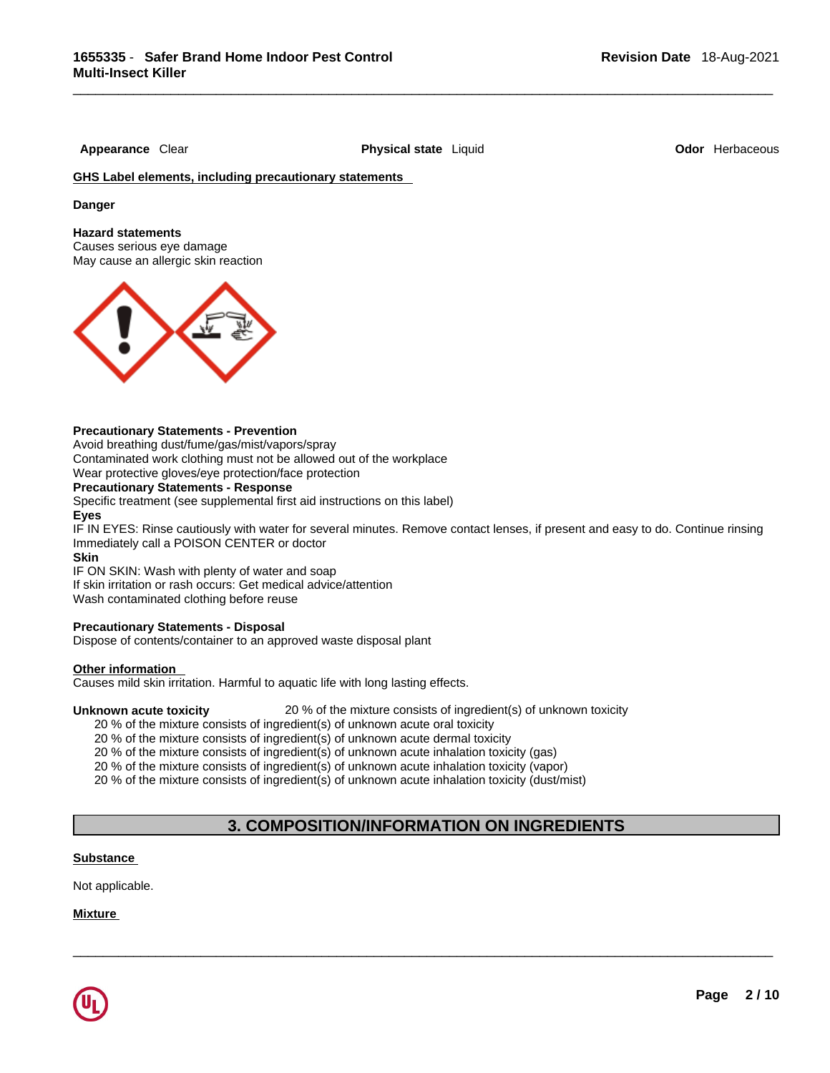**Appearance** Clear **Physical state** Liquid **Odor** Herbaceous

## **GHS Label elements, including precautionary statements**

**Danger** 

### **Hazard statements**

Causes serious eye damage May cause an allergic skin reaction



## **Precautionary Statements - Prevention**

Avoid breathing dust/fume/gas/mist/vapors/spray Contaminated work clothing must not be allowed out of the workplace

Wear protective gloves/eye protection/face protection

## **Precautionary Statements - Response**

Specific treatment (see supplemental first aid instructions on this label) **Eyes**

IF IN EYES: Rinse cautiously with water for several minutes. Remove contact lenses, if present and easy to do. Continue rinsing Immediately call a POISON CENTER or doctor

#### **Skin**

IF ON SKIN: Wash with plenty of water and soap

If skin irritation or rash occurs: Get medical advice/attention

Wash contaminated clothing before reuse

## **Precautionary Statements - Disposal**

Dispose of contents/container to an approved waste disposal plant

## **Other information**

Causes mild skin irritation. Harmful to aquatic life with long lasting effects.

**Unknown acute toxicity** 20 % of the mixture consists of ingredient(s) of unknown toxicity

20 % of the mixture consists of ingredient(s) of unknown acute oral toxicity

20 % of the mixture consists of ingredient(s) of unknown acute dermal toxicity

20 % of the mixture consists of ingredient(s) of unknown acute inhalation toxicity (gas)

20 % of the mixture consists of ingredient(s) of unknown acute inhalation toxicity (vapor)

20 % of the mixture consists of ingredient(s) of unknown acute inhalation toxicity (dust/mist)

# **3. COMPOSITION/INFORMATION ON INGREDIENTS**

 $\_$  ,  $\_$  ,  $\_$  ,  $\_$  ,  $\_$  ,  $\_$  ,  $\_$  ,  $\_$  ,  $\_$  ,  $\_$  ,  $\_$  ,  $\_$  ,  $\_$  ,  $\_$  ,  $\_$  ,  $\_$  ,  $\_$  ,  $\_$  ,  $\_$  ,  $\_$  ,  $\_$  ,  $\_$  ,  $\_$  ,  $\_$  ,  $\_$  ,  $\_$  ,  $\_$  ,  $\_$  ,  $\_$  ,  $\_$  ,  $\_$  ,  $\_$  ,  $\_$  ,  $\_$  ,  $\_$  ,  $\_$  ,  $\_$  ,

## **Substance**

Not applicable.

**Mixture**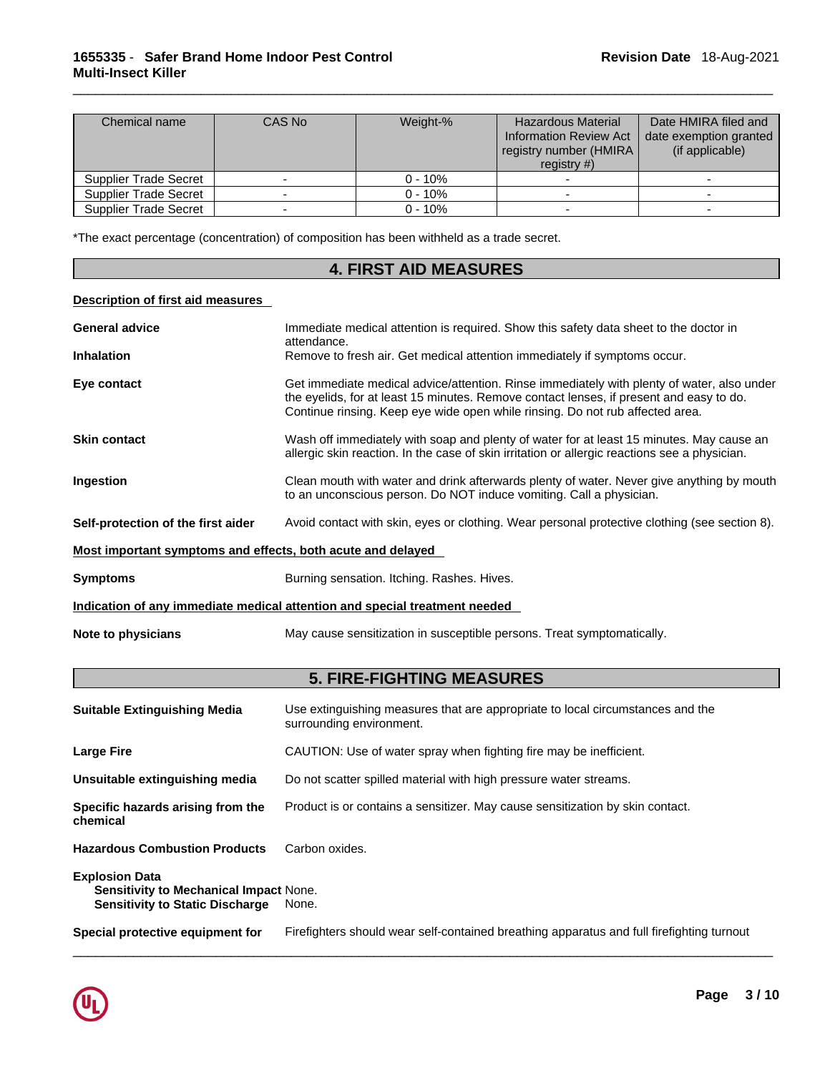| Chemical name                | CAS No | Weight-%   | <b>Hazardous Material</b><br><b>Information Review Act</b><br>registry number (HMIRA  <br>registry $#$ ) | Date HMIRA filed and<br>date exemption granted<br>(if applicable) |
|------------------------------|--------|------------|----------------------------------------------------------------------------------------------------------|-------------------------------------------------------------------|
| Supplier Trade Secret        |        | $0 - 10\%$ |                                                                                                          |                                                                   |
| Supplier Trade Secret        |        | $0 - 10%$  |                                                                                                          |                                                                   |
| <b>Supplier Trade Secret</b> |        | $0 - 10%$  |                                                                                                          |                                                                   |

\*The exact percentage (concentration) of composition has been withheld as a trade secret.

|                                    | <b>4. FIRST AID MEASURES</b>                                                                                                                                                                                                                                           |
|------------------------------------|------------------------------------------------------------------------------------------------------------------------------------------------------------------------------------------------------------------------------------------------------------------------|
| Description of first aid measures  |                                                                                                                                                                                                                                                                        |
| <b>General advice</b>              | Immediate medical attention is required. Show this safety data sheet to the doctor in<br>attendance.                                                                                                                                                                   |
| <b>Inhalation</b>                  | Remove to fresh air. Get medical attention immediately if symptoms occur.                                                                                                                                                                                              |
| Eye contact                        | Get immediate medical advice/attention. Rinse immediately with plenty of water, also under<br>the eyelids, for at least 15 minutes. Remove contact lenses, if present and easy to do.<br>Continue rinsing. Keep eye wide open while rinsing. Do not rub affected area. |
| <b>Skin contact</b>                | Wash off immediately with soap and plenty of water for at least 15 minutes. May cause an<br>allergic skin reaction. In the case of skin irritation or allergic reactions see a physician.                                                                              |
| Ingestion                          | Clean mouth with water and drink afterwards plenty of water. Never give anything by mouth<br>to an unconscious person. Do NOT induce vomiting. Call a physician.                                                                                                       |
| Self-protection of the first aider | Avoid contact with skin, eyes or clothing. Wear personal protective clothing (see section 8).                                                                                                                                                                          |

## **Most important symptoms and effects, both acute and delayed**

**Symptoms Burning sensation. Itching. Rashes. Hives. Burning sensation. Itching. Rashes. Hives.** 

**Indication of any immediate medical attention and special treatment needed**

**Note to physicians** May cause sensitization in susceptible persons. Treat symptomatically.

# **5. FIRE-FIGHTING MEASURES**

| <b>Suitable Extinguishing Media</b>                                                                              | Use extinguishing measures that are appropriate to local circumstances and the<br>surrounding environment. |
|------------------------------------------------------------------------------------------------------------------|------------------------------------------------------------------------------------------------------------|
| <b>Large Fire</b>                                                                                                | CAUTION: Use of water spray when fighting fire may be inefficient.                                         |
| Unsuitable extinguishing media                                                                                   | Do not scatter spilled material with high pressure water streams.                                          |
| Specific hazards arising from the<br>chemical                                                                    | Product is or contains a sensitizer. May cause sensitization by skin contact.                              |
| <b>Hazardous Combustion Products</b>                                                                             | Carbon oxides.                                                                                             |
| <b>Explosion Data</b><br><b>Sensitivity to Mechanical Impact None.</b><br><b>Sensitivity to Static Discharge</b> | None.                                                                                                      |
| Special protective equipment for                                                                                 | Firefighters should wear self-contained breathing apparatus and full firefighting turnout                  |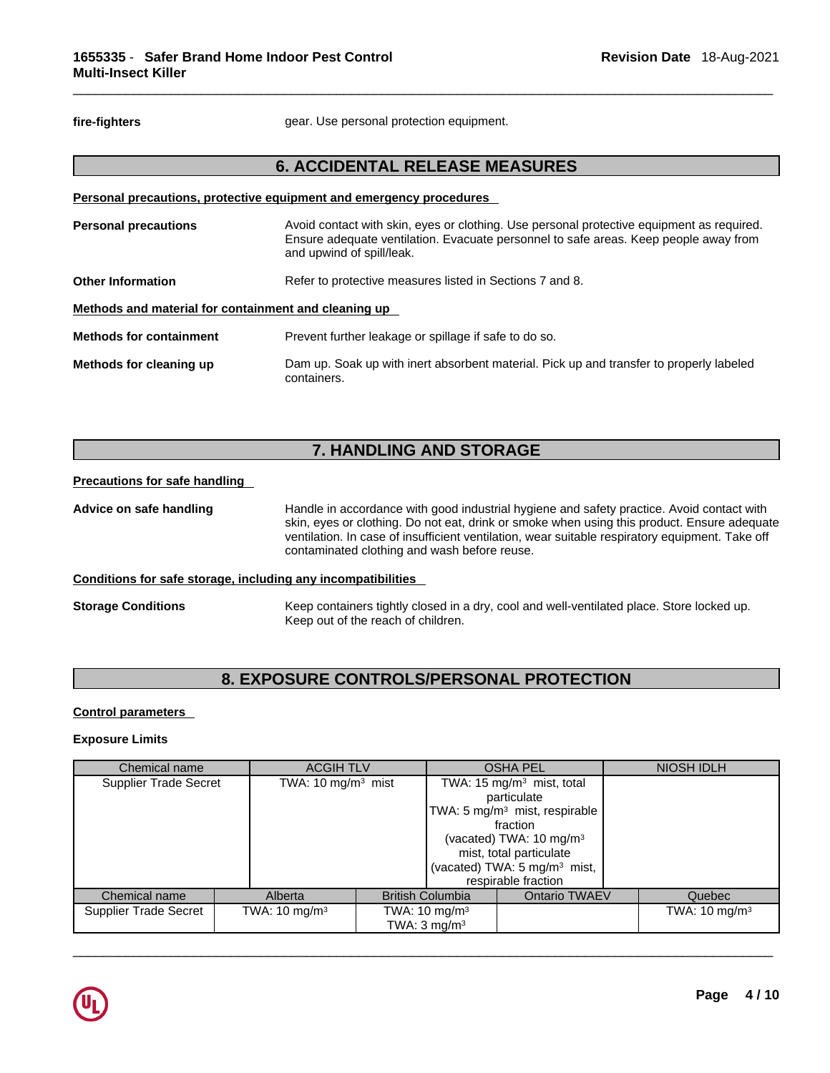fire-fighters **gear.** Use personal protection equipment.

## **6. ACCIDENTAL RELEASE MEASURES**

|                                                      | Personal precautions, protective equipment and emergency procedures                                                                                                                                            |
|------------------------------------------------------|----------------------------------------------------------------------------------------------------------------------------------------------------------------------------------------------------------------|
| <b>Personal precautions</b>                          | Avoid contact with skin, eyes or clothing. Use personal protective equipment as required.<br>Ensure adequate ventilation. Evacuate personnel to safe areas. Keep people away from<br>and upwind of spill/leak. |
| <b>Other Information</b>                             | Refer to protective measures listed in Sections 7 and 8.                                                                                                                                                       |
| Methods and material for containment and cleaning up |                                                                                                                                                                                                                |
| <b>Methods for containment</b>                       | Prevent further leakage or spillage if safe to do so.                                                                                                                                                          |
| Methods for cleaning up                              | Dam up. Soak up with inert absorbent material. Pick up and transfer to properly labeled<br>containers.                                                                                                         |

# **7. HANDLING AND STORAGE**

### **Precautions for safe handling**

**Advice on safe handling** Handle in accordance with good industrial hygiene and safety practice. Avoid contact with skin, eyes or clothing. Do not eat, drink or smoke when using this product. Ensure adequate ventilation. In case of insufficient ventilation, wear suitable respiratory equipment. Take off contaminated clothing and wash before reuse.

## **Conditions for safe storage, including any incompatibilities**

**Storage Conditions** Keep containers tightly closed in a dry, cool and well-ventilated place. Store locked up. Keep out of the reach of children.

## **8. EXPOSURE CONTROLS/PERSONAL PROTECTION**

## **Control parameters**

## **Exposure Limits**

| Chemical name                |                       | <b>ACGIH TLV</b>                   |                           |                         |                                           |                  | <b>OSHA PEL</b>                       | NIOSH IDLH |
|------------------------------|-----------------------|------------------------------------|---------------------------|-------------------------|-------------------------------------------|------------------|---------------------------------------|------------|
| <b>Supplier Trade Secret</b> | TWA: 10 mg/m $3$ mist |                                    |                           |                         |                                           |                  | TWA: 15 mg/m <sup>3</sup> mist, total |            |
|                              |                       |                                    |                           |                         | particulate                               |                  |                                       |            |
|                              |                       |                                    |                           |                         | TWA: 5 mg/m <sup>3</sup> mist, respirable |                  |                                       |            |
|                              |                       |                                    |                           |                         | fraction                                  |                  |                                       |            |
|                              |                       |                                    |                           |                         | (vacated) TWA: $10 \text{ mg/m}^3$        |                  |                                       |            |
|                              |                       |                                    |                           |                         | mist, total particulate                   |                  |                                       |            |
|                              |                       |                                    |                           |                         | (vacated) TWA: 5 mg/m <sup>3</sup> mist,  |                  |                                       |            |
|                              |                       |                                    |                           |                         | respirable fraction                       |                  |                                       |            |
| Chemical name                |                       | Alberta<br><b>British Columbia</b> |                           |                         | <b>Ontario TWAEV</b>                      | Quebec           |                                       |            |
| <b>Supplier Trade Secret</b> |                       | TWA: 10 mg/m <sup>3</sup>          | TWA: 10 mg/m <sup>3</sup> |                         |                                           | TWA: 10 mg/m $3$ |                                       |            |
|                              |                       |                                    |                           | TWA: $3 \text{ mg/m}^3$ |                                           |                  |                                       |            |

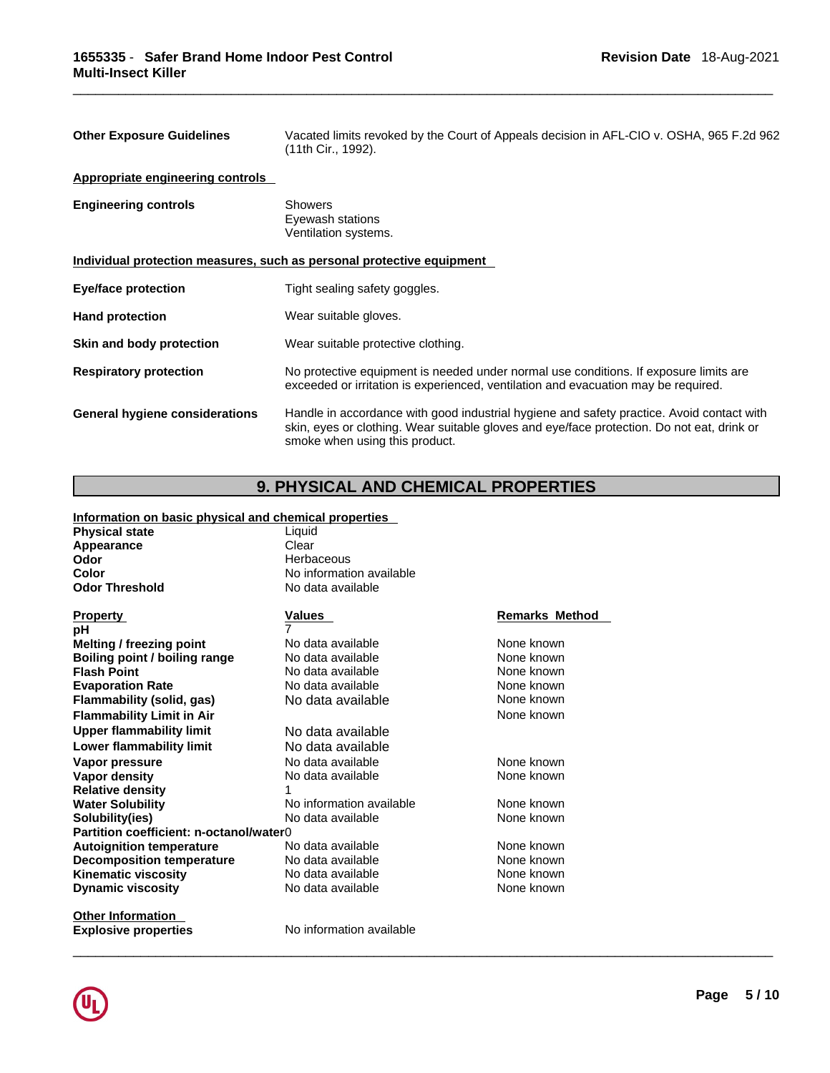| <b>Other Exposure Guidelines</b>      | Vacated limits revoked by the Court of Appeals decision in AFL-CIO v. OSHA, 965 F.2d 962<br>(11th Cir., 1992).                                                                                                            |
|---------------------------------------|---------------------------------------------------------------------------------------------------------------------------------------------------------------------------------------------------------------------------|
| Appropriate engineering controls      |                                                                                                                                                                                                                           |
| <b>Engineering controls</b>           | <b>Showers</b><br>Eyewash stations<br>Ventilation systems.                                                                                                                                                                |
|                                       | Individual protection measures, such as personal protective equipment                                                                                                                                                     |
| Eye/face protection                   | Tight sealing safety goggles.                                                                                                                                                                                             |
| <b>Hand protection</b>                | Wear suitable gloves.                                                                                                                                                                                                     |
| Skin and body protection              | Wear suitable protective clothing.                                                                                                                                                                                        |
| <b>Respiratory protection</b>         | No protective equipment is needed under normal use conditions. If exposure limits are<br>exceeded or irritation is experienced, ventilation and evacuation may be required.                                               |
| <b>General hygiene considerations</b> | Handle in accordance with good industrial hygiene and safety practice. Avoid contact with<br>skin, eyes or clothing. Wear suitable gloves and eye/face protection. Do not eat, drink or<br>smoke when using this product. |

# **9. PHYSICAL AND CHEMICAL PROPERTIES**

## **Information on basic physical and chemical properties**

| <b>Physical state</b>                   | Liquid                   |                       |
|-----------------------------------------|--------------------------|-----------------------|
| Appearance                              | Clear                    |                       |
| Odor                                    | Herbaceous               |                       |
| Color                                   | No information available |                       |
| <b>Odor Threshold</b>                   | No data available        |                       |
| <b>Property</b>                         | <b>Values</b>            | <b>Remarks Method</b> |
| рH                                      |                          |                       |
| <b>Melting / freezing point</b>         | No data available        | None known            |
| Boiling point / boiling range           | No data available        | None known            |
| <b>Flash Point</b>                      | No data available        | None known            |
| <b>Evaporation Rate</b>                 | No data available        | None known            |
| Flammability (solid, gas)               | No data available        | None known            |
| <b>Flammability Limit in Air</b>        |                          | None known            |
| <b>Upper flammability limit</b>         | No data available        |                       |
| Lower flammability limit                | No data available        |                       |
| Vapor pressure                          | No data available        | None known            |
| <b>Vapor density</b>                    | No data available        | None known            |
| <b>Relative density</b>                 | 1                        |                       |
| <b>Water Solubility</b>                 | No information available | None known            |
| Solubility(ies)                         | No data available        | None known            |
| Partition coefficient: n-octanol/water0 |                          |                       |
| <b>Autoignition temperature</b>         | No data available        | None known            |
| <b>Decomposition temperature</b>        | No data available        | None known            |
| <b>Kinematic viscosity</b>              | No data available        | None known            |
| <b>Dynamic viscosity</b>                | No data available        | None known            |
| Othar Information                       |                          |                       |

**Other Information**<br>**Explosive properties** 

**Explosive properties** No information available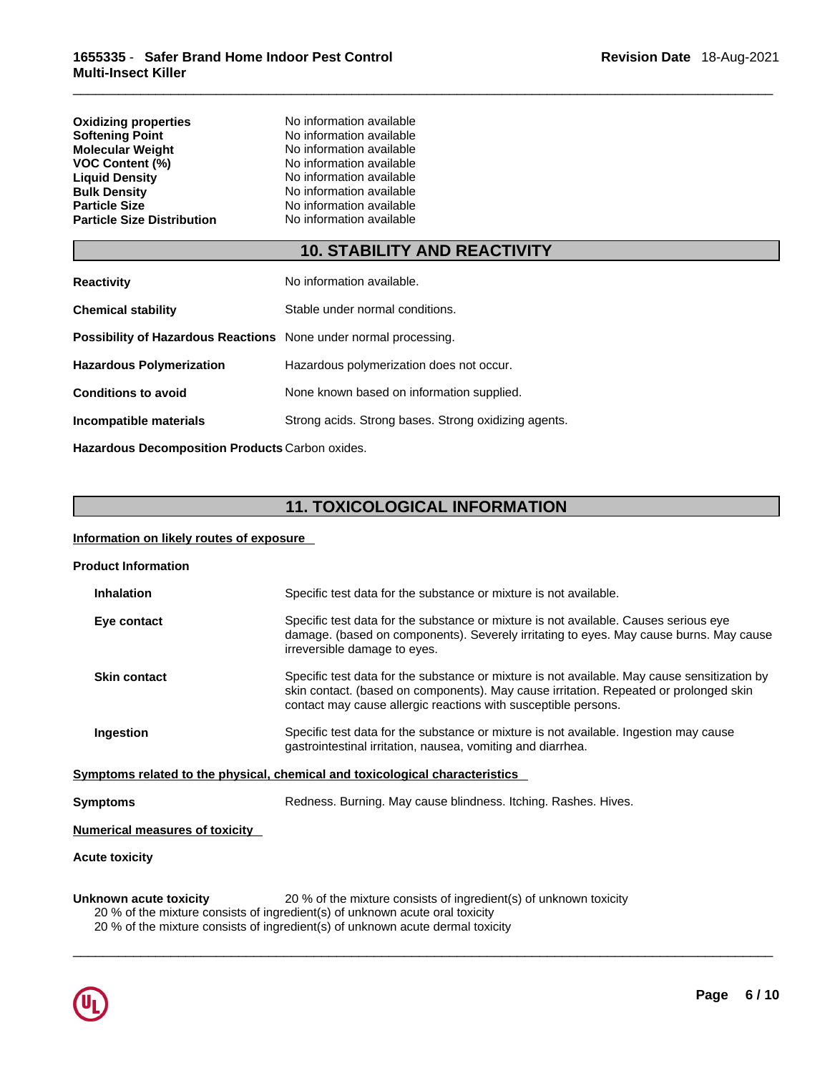| <b>Oxidizing properties</b>       | No information available |
|-----------------------------------|--------------------------|
| <b>Softening Point</b>            | No information available |
| Molecular Weight                  | No information available |
| <b>VOC Content (%)</b>            | No information available |
| <b>Liguid Density</b>             | No information available |
| <b>Bulk Density</b>               | No information available |
| <b>Particle Size</b>              | No information available |
| <b>Particle Size Distribution</b> | No information available |
|                                   |                          |

# **10. STABILITY AND REACTIVITY**

| <b>Reactivity</b>                                                       | No information available.                            |
|-------------------------------------------------------------------------|------------------------------------------------------|
| <b>Chemical stability</b>                                               | Stable under normal conditions.                      |
| <b>Possibility of Hazardous Reactions</b> None under normal processing. |                                                      |
| <b>Hazardous Polymerization</b>                                         | Hazardous polymerization does not occur.             |
| <b>Conditions to avoid</b>                                              | None known based on information supplied.            |
| Incompatible materials                                                  | Strong acids. Strong bases. Strong oxidizing agents. |
|                                                                         |                                                      |

**Hazardous Decomposition Products** Carbon oxides.

# **11. TOXICOLOGICAL INFORMATION**

## **Information on likely routes of exposure**

| <b>Product Information</b>     |                                                                                                                                                                                                                                                         |
|--------------------------------|---------------------------------------------------------------------------------------------------------------------------------------------------------------------------------------------------------------------------------------------------------|
| <b>Inhalation</b>              | Specific test data for the substance or mixture is not available.                                                                                                                                                                                       |
| Eye contact                    | Specific test data for the substance or mixture is not available. Causes serious eye<br>damage. (based on components). Severely irritating to eyes. May cause burns. May cause<br>irreversible damage to eyes.                                          |
| <b>Skin contact</b>            | Specific test data for the substance or mixture is not available. May cause sensitization by<br>skin contact. (based on components). May cause irritation. Repeated or prolonged skin<br>contact may cause allergic reactions with susceptible persons. |
| Ingestion                      | Specific test data for the substance or mixture is not available. Ingestion may cause<br>gastrointestinal irritation, nausea, vomiting and diarrhea.                                                                                                    |
|                                | Symptoms related to the physical, chemical and toxicological characteristics                                                                                                                                                                            |
| Symptoms                       | Redness. Burning. May cause blindness. Itching. Rashes. Hives.                                                                                                                                                                                          |
| Numerical measures of toxicity |                                                                                                                                                                                                                                                         |
| Acute toxicity                 |                                                                                                                                                                                                                                                         |

 $\_$  ,  $\_$  ,  $\_$  ,  $\_$  ,  $\_$  ,  $\_$  ,  $\_$  ,  $\_$  ,  $\_$  ,  $\_$  ,  $\_$  ,  $\_$  ,  $\_$  ,  $\_$  ,  $\_$  ,  $\_$  ,  $\_$  ,  $\_$  ,  $\_$  ,  $\_$  ,  $\_$  ,  $\_$  ,  $\_$  ,  $\_$  ,  $\_$  ,  $\_$  ,  $\_$  ,  $\_$  ,  $\_$  ,  $\_$  ,  $\_$  ,  $\_$  ,  $\_$  ,  $\_$  ,  $\_$  ,  $\_$  ,  $\_$  ,

**Unknown acute toxicity** 20 % of the mixture consists of ingredient(s) of unknown toxicity

20 % of the mixture consists of ingredient(s) of unknown acute oral toxicity

20 % of the mixture consists of ingredient(s) of unknown acute dermal toxicity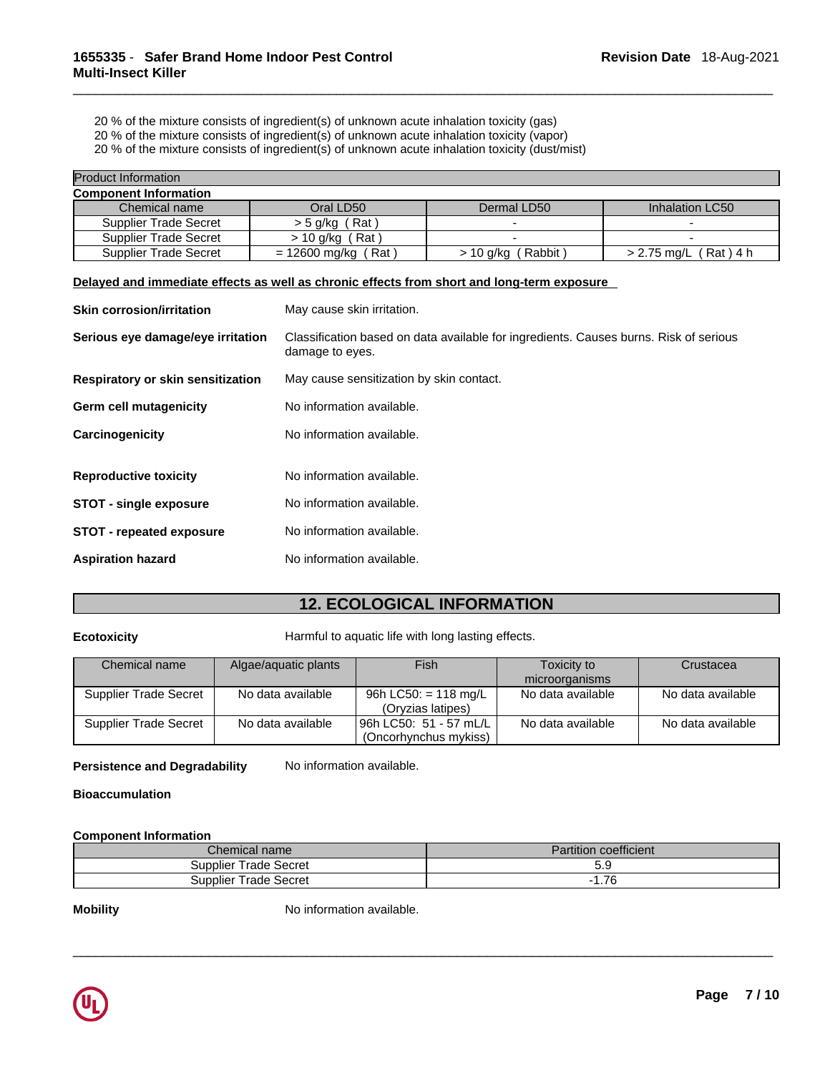20 % of the mixture consists of ingredient(s) of unknown acute inhalation toxicity (gas)

20 % of the mixture consists of ingredient(s) of unknown acute inhalation toxicity (vapor)

20 % of the mixture consists of ingredient(s) of unknown acute inhalation toxicity (dust/mist)

| <b>Product Information</b>   |                              |                      |                         |
|------------------------------|------------------------------|----------------------|-------------------------|
| <b>Component Information</b> |                              |                      |                         |
| Chemical name                | Oral LD50                    | Dermal LD50          | Inhalation LC50         |
| <b>Supplier Trade Secret</b> | $>$ 5 g/kg (Rat)             |                      |                         |
| <b>Supplier Trade Secret</b> | Rat )<br>> 10 g/kg           |                      |                         |
| <b>Supplier Trade Secret</b> | $= 12600$ mg/kg (<br>์ Rat ) | Rabbit)<br>> 10 g/kg | $> 2.75$ mg/L (Rat) 4 h |

## **Delayed and immediate effects as well as chronic effects from short and long-term exposure**

| <b>Skin corrosion/irritation</b>  | May cause skin irritation.                                                                               |  |  |
|-----------------------------------|----------------------------------------------------------------------------------------------------------|--|--|
| Serious eye damage/eye irritation | Classification based on data available for ingredients. Causes burns. Risk of serious<br>damage to eyes. |  |  |
| Respiratory or skin sensitization | May cause sensitization by skin contact.                                                                 |  |  |
| Germ cell mutagenicity            | No information available.                                                                                |  |  |
| Carcinogenicity                   | No information available.                                                                                |  |  |
| <b>Reproductive toxicity</b>      | No information available.                                                                                |  |  |
| <b>STOT - single exposure</b>     | No information available.                                                                                |  |  |
| <b>STOT - repeated exposure</b>   | No information available.                                                                                |  |  |
| <b>Aspiration hazard</b>          | No information available.                                                                                |  |  |

# **12. ECOLOGICAL INFORMATION**

**Ecotoxicity Harmful to aquatic life with long lasting effects.** 

| Chemical name                | Algae/aquatic plants | Fish                                              | Toxicity to<br>microorganisms | Crustacea         |
|------------------------------|----------------------|---------------------------------------------------|-------------------------------|-------------------|
| <b>Supplier Trade Secret</b> | No data available    | 96h LC50: = 118 mg/L<br>(Oryzias latipes)         | No data available             | No data available |
| <b>Supplier Trade Secret</b> | No data available    | l 96h LC50: 51 - 57 mL/L<br>(Oncorhynchus mykiss) | No data available             | No data available |

**Persistence and Degradability** No information available.

## **Bioaccumulation**

## **Component Information**

| <i>C</i> hemical name           | $\cdots$<br>s coefficient.<br>Partition |  |
|---------------------------------|-----------------------------------------|--|
| <b>Trade Secret</b><br>Supplier | ບ.ວ                                     |  |
| Trade Secret<br><b>Supplier</b> | $\overline{\phantom{a}}$<br>.10         |  |

 $\_$  ,  $\_$  ,  $\_$  ,  $\_$  ,  $\_$  ,  $\_$  ,  $\_$  ,  $\_$  ,  $\_$  ,  $\_$  ,  $\_$  ,  $\_$  ,  $\_$  ,  $\_$  ,  $\_$  ,  $\_$  ,  $\_$  ,  $\_$  ,  $\_$  ,  $\_$  ,  $\_$  ,  $\_$  ,  $\_$  ,  $\_$  ,  $\_$  ,  $\_$  ,  $\_$  ,  $\_$  ,  $\_$  ,  $\_$  ,  $\_$  ,  $\_$  ,  $\_$  ,  $\_$  ,  $\_$  ,  $\_$  ,  $\_$  ,

**Mobility Mobility** No information available.

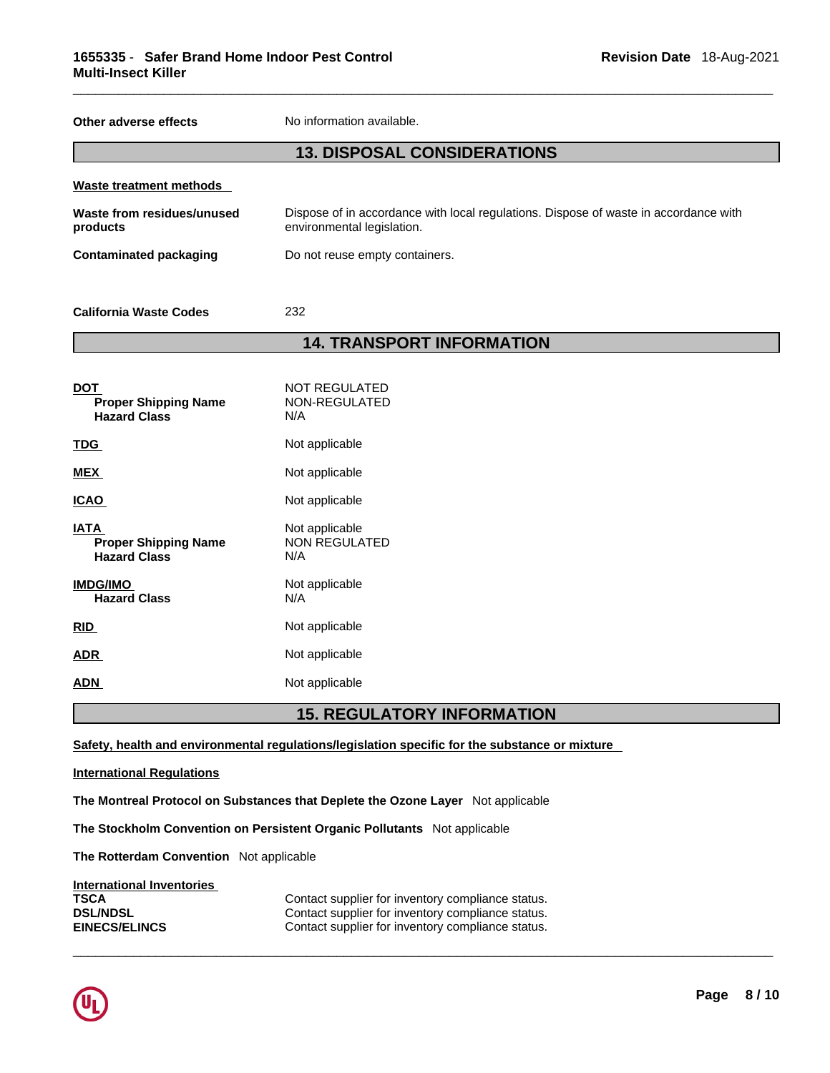**Other adverse effects** No information available.

## **13. DISPOSAL CONSIDERATIONS**

| Waste treatment methods                |                                                                                                                    |
|----------------------------------------|--------------------------------------------------------------------------------------------------------------------|
| Waste from residues/unused<br>products | Dispose of in accordance with local regulations. Dispose of waste in accordance with<br>environmental legislation. |
| Contaminated packaging                 | Do not reuse empty containers.                                                                                     |
| <b>California Waste Codes</b>          | 232                                                                                                                |

## **14. TRANSPORT INFORMATION**

| DOT<br><b>Proper Shipping Name</b><br><b>Hazard Class</b>  | NOT REGULATED<br>NON-REGULATED<br>N/A         |
|------------------------------------------------------------|-----------------------------------------------|
| <b>TDG</b>                                                 | Not applicable                                |
| MEX                                                        | Not applicable                                |
| ICAO                                                       | Not applicable                                |
| IATA<br><b>Proper Shipping Name</b><br><b>Hazard Class</b> | Not applicable<br><b>NON REGULATED</b><br>N/A |
| <b>IMDG/IMO</b><br><b>Hazard Class</b>                     | Not applicable<br>N/A                         |
| <b>RID</b>                                                 | Not applicable                                |
| ADR.                                                       | Not applicable                                |
| ADN                                                        | Not applicable                                |
|                                                            |                                               |

## **15. REGULATORY INFORMATION**

 $\_$  ,  $\_$  ,  $\_$  ,  $\_$  ,  $\_$  ,  $\_$  ,  $\_$  ,  $\_$  ,  $\_$  ,  $\_$  ,  $\_$  ,  $\_$  ,  $\_$  ,  $\_$  ,  $\_$  ,  $\_$  ,  $\_$  ,  $\_$  ,  $\_$  ,  $\_$  ,  $\_$  ,  $\_$  ,  $\_$  ,  $\_$  ,  $\_$  ,  $\_$  ,  $\_$  ,  $\_$  ,  $\_$  ,  $\_$  ,  $\_$  ,  $\_$  ,  $\_$  ,  $\_$  ,  $\_$  ,  $\_$  ,  $\_$  ,

**Safety, health and environmental regulations/legislation specific for the substance or mixture**

#### **International Regulations**

**The Montreal Protocol on Substances that Deplete the Ozone Layer** Not applicable

**The Stockholm Convention on Persistent Organic Pollutants** Not applicable

**The Rotterdam Convention** Not applicable

## **International Inventories**

**TSCA Contact supplier for inventory compliance status.**<br>**DSL/NDSL Contact supplier for inventory compliance status. DSL/NDSL DSL/NDSL**<br> **Contact supplier for inventory compliance status.**<br>
Contact supplier for inventory compliance status. Contact supplier for inventory compliance status.

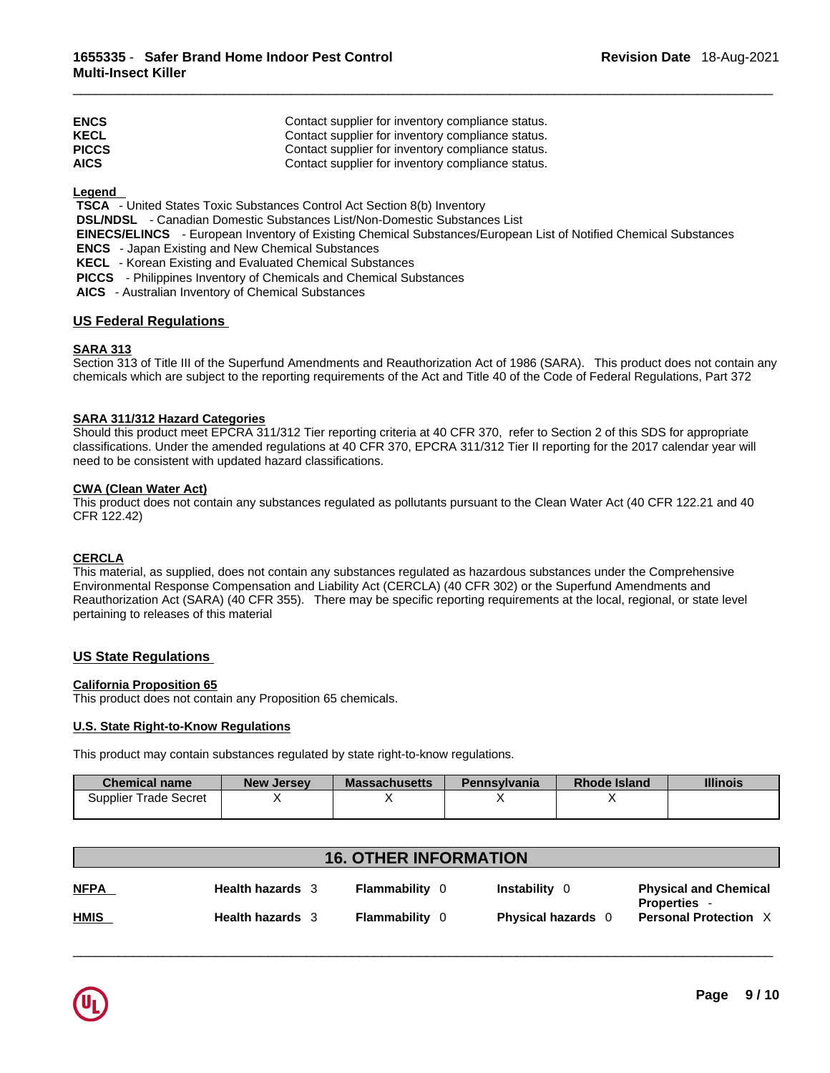| <b>ENCS</b>  | Contact supplier for inventory compliance status. |
|--------------|---------------------------------------------------|
| <b>KECL</b>  | Contact supplier for inventory compliance status. |
| <b>PICCS</b> | Contact supplier for inventory compliance status. |
| <b>AICS</b>  | Contact supplier for inventory compliance status. |

**Legend** 

 **TSCA** - United States Toxic Substances Control Act Section 8(b) Inventory

 **DSL/NDSL** - Canadian Domestic Substances List/Non-Domestic Substances List

 **EINECS/ELINCS** - European Inventory of Existing Chemical Substances/European List of Notified Chemical Substances

 **ENCS** - Japan Existing and New Chemical Substances

 **KECL** - Korean Existing and Evaluated Chemical Substances

 **PICCS** - Philippines Inventory of Chemicals and Chemical Substances

 **AICS** - Australian Inventory of Chemical Substances

## **US Federal Regulations**

## **SARA 313**

Section 313 of Title III of the Superfund Amendments and Reauthorization Act of 1986 (SARA). This product does not contain any chemicals which are subject to the reporting requirements of the Act and Title 40 of the Code of Federal Regulations, Part 372

## **SARA 311/312 Hazard Categories**

Should this product meet EPCRA 311/312 Tier reporting criteria at 40 CFR 370, refer to Section 2 of this SDS for appropriate classifications. Under the amended regulations at 40 CFR 370, EPCRA 311/312 Tier II reporting for the 2017 calendar year will need to be consistent with updated hazard classifications.

## **CWA (Clean WaterAct)**

This product does not contain any substances regulated as pollutants pursuant to the Clean Water Act (40 CFR 122.21 and 40 CFR 122.42)

## **CERCLA**

This material, as supplied, does not contain any substances regulated as hazardous substances under the Comprehensive Environmental Response Compensation and Liability Act (CERCLA) (40 CFR 302) or the Superfund Amendments and Reauthorization Act (SARA) (40 CFR 355). There may be specific reporting requirements at the local, regional, or state level pertaining to releases of this material

## **US State Regulations**

## **California Proposition 65**

This product does not contain any Proposition 65 chemicals.

#### **U.S. State Right-to-Know Regulations**

This product may contain substances regulated by state right-to-know regulations.

| <b>Chemical name</b>         | <b>New Jersey</b> | <b>Massachusetts</b> | <b>Pennsylvania</b> | <b>Rhode Island</b> | <b>Illinois</b> |
|------------------------------|-------------------|----------------------|---------------------|---------------------|-----------------|
| <b>Supplier Trade Secret</b> |                   |                      |                     | ,,                  |                 |
|                              |                   |                      |                     |                     |                 |

| <b>16. OTHER INFORMATION</b> |                         |                       |                           |                                                   |
|------------------------------|-------------------------|-----------------------|---------------------------|---------------------------------------------------|
| <b>NFPA</b>                  | <b>Health hazards</b> 3 | <b>Flammability</b> 0 | <b>Instability</b> 0      | <b>Physical and Chemical</b><br><b>Properties</b> |
| <b>HMIS</b>                  | Health hazards 3        | <b>Flammability</b> 0 | <b>Physical hazards</b> 0 | <b>Personal Protection X</b>                      |